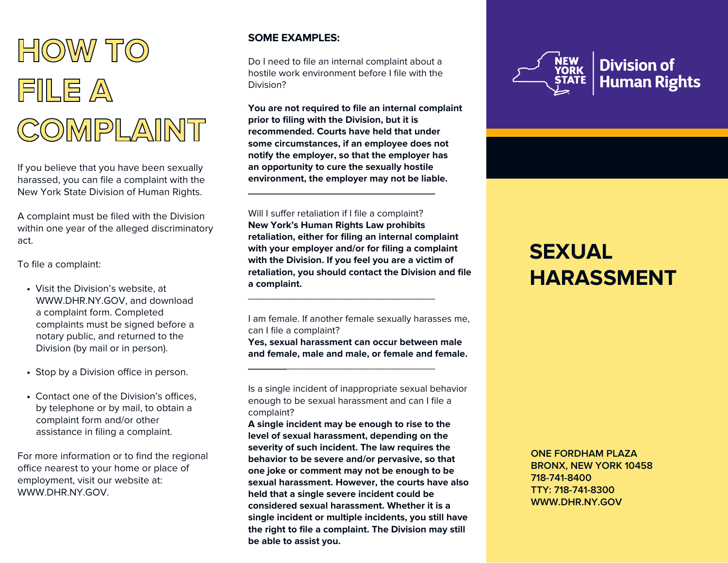

If you believe that you have been sexually harassed, you can file a complaint with the New York State Division of Human Rights.

A complaint must be filed with the Division within one year of the alleged discriminatory act.

To file a complaint:

- Visit the Division's website, at WWW.DHR.NY.GOV, and download a complaint form. Completed complaints must be signed before a notary public, and returned to the Division (by mail or in person).
- Stop by a Division office in person.
- Contact one of the Division's offices. by telephone or by mail, to obtain a complaint form and/or other assistance in filing a complaint.

For more information or to find the regional office nearest to your home or place of employment, visit our website at: WWW.DHR.NY.GOV

## **SOME EXAMPLES:**

Do I need to file an internal complaint about a hostile work environment before I file with the Division?

**You are not required to file an internal complaint prior to filing with the Division, but it is recommended. Courts have held that under some circumstances, if an employee does not notify the employer, so that the employer has an opportunity to cure the sexually hostile environment, the employer may not be liable.**

**\_\_\_\_\_\_\_\_\_\_\_\_\_\_\_\_\_\_\_\_\_\_\_\_\_\_\_\_\_\_\_\_\_\_**

\_\_\_\_\_\_\_\_\_\_\_\_\_\_\_\_\_\_\_\_\_\_\_\_\_\_\_\_\_\_\_\_\_\_

**\_\_\_\_\_\_\_**\_\_\_\_\_\_\_\_\_\_\_\_\_\_\_\_\_\_\_\_\_\_\_\_\_\_\_

Will I suffer retaliation if I file a complaint? **New York's Human Rights Law prohibits retaliation, either for filing an internal complaint with your employer and/or for filing a complaint with the Division. If you feel you are a victim of retaliation, you should contact the Division and file a complaint.**

I am female. If another female sexually harasses me, can I file a complaint?

**Yes, sexual harassment can occur between male and female, male and male, or female and female.**

Is a single incident of inappropriate sexual behavior enough to be sexual harassment and can I file a complaint?

**A single incident may be enough to rise to the level of sexual harassment, depending on the severity of such incident. The law requires the behavior to be severe and/or pervasive, so that one joke or comment may not be enough to be sexual harassment. However, the courts have also held that a single severe incident could be considered sexual harassment. Whether it is a single incident or multiple incidents, you still have the right to file a complaint. The Division may still be able to assist you.**



# **SEXUAL HARASSMENT**

**ONE FORDHAM PLAZA BRONX, NEW YORK 10458 718-741-8400 TTY: 718-741-8300 WWW.DHR.NY.GOV**